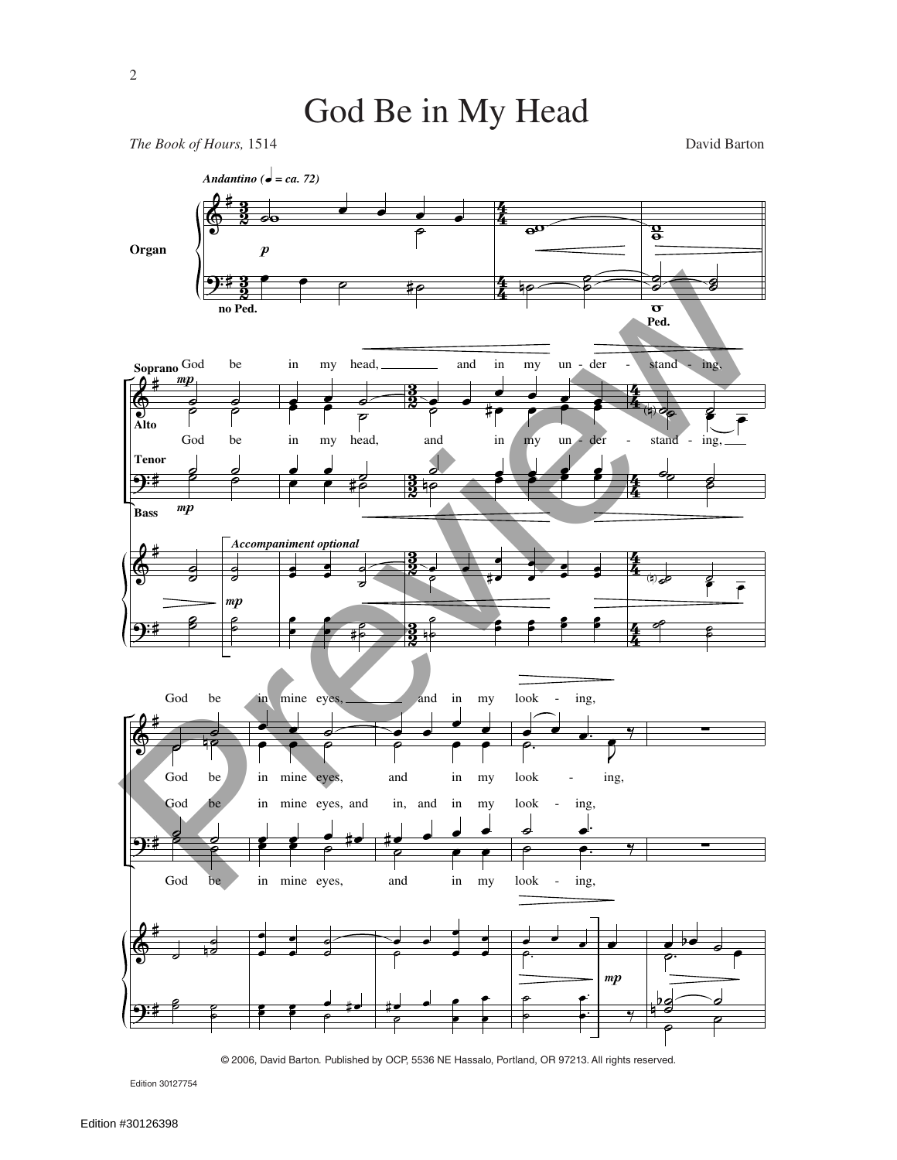## God Be in My Head

*The Book of Hours,* 1514 David Barton



© 2006, David Barton*.* Published by OCP, 5536 NE Hassalo, Portland, OR 97213. All rights reserved.

Edition 30127754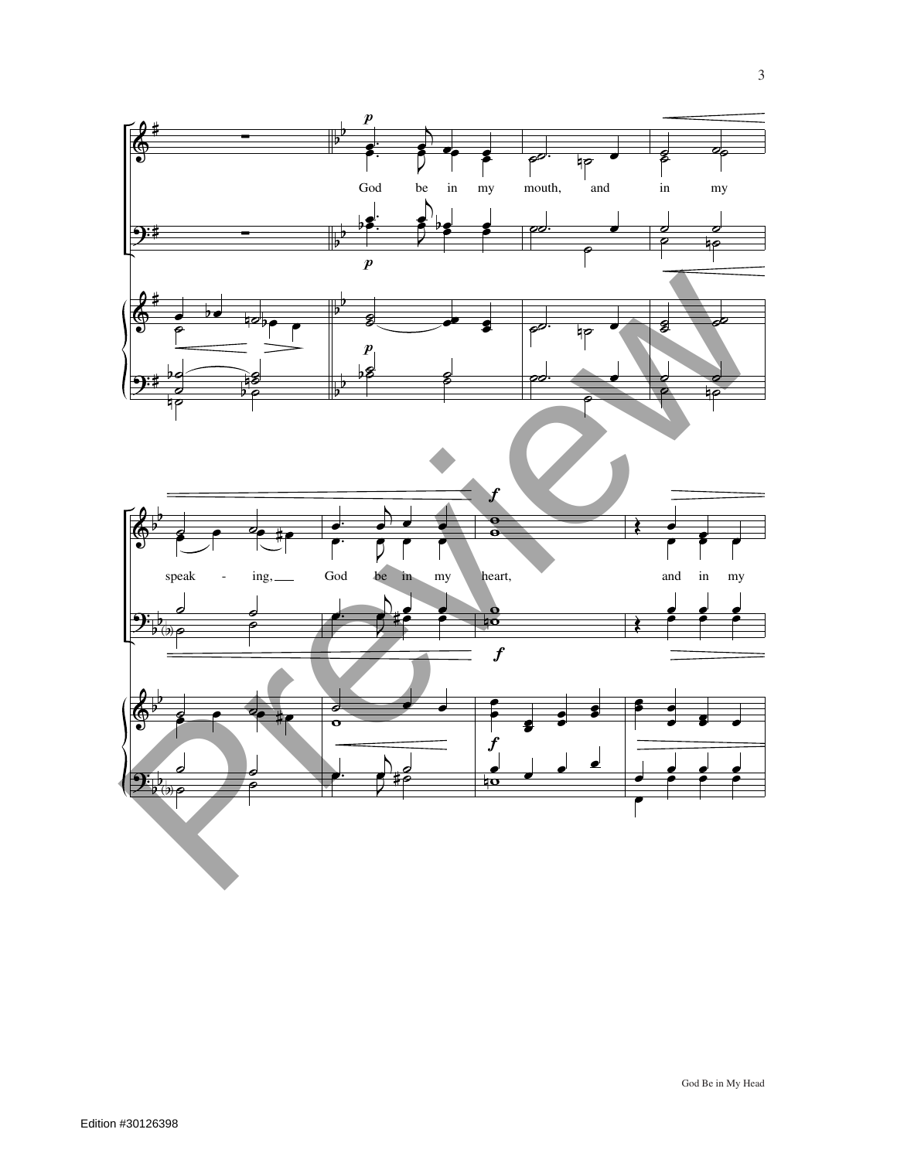